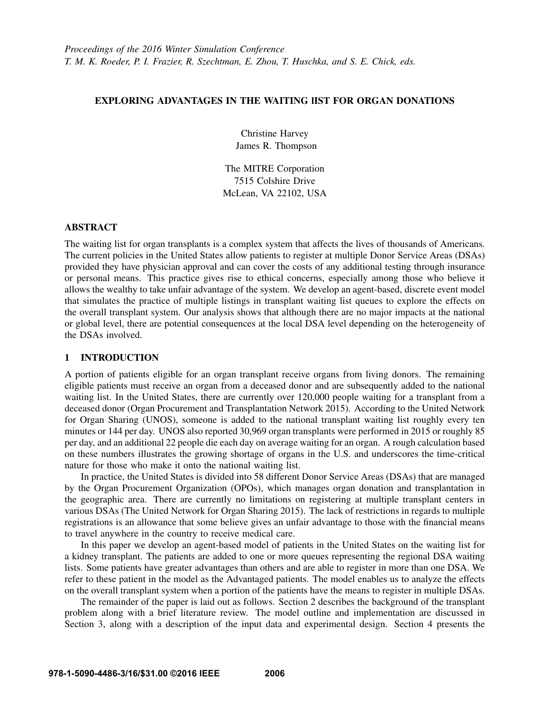## EXPLORING ADVANTAGES IN THE WAITING lIST FOR ORGAN DONATIONS

Christine Harvey James R. Thompson

The MITRE Corporation 7515 Colshire Drive McLean, VA 22102, USA

## ABSTRACT

The waiting list for organ transplants is a complex system that affects the lives of thousands of Americans. The current policies in the United States allow patients to register at multiple Donor Service Areas (DSAs) provided they have physician approval and can cover the costs of any additional testing through insurance or personal means. This practice gives rise to ethical concerns, especially among those who believe it allows the wealthy to take unfair advantage of the system. We develop an agent-based, discrete event model that simulates the practice of multiple listings in transplant waiting list queues to explore the effects on the overall transplant system. Our analysis shows that although there are no major impacts at the national or global level, there are potential consequences at the local DSA level depending on the heterogeneity of the DSAs involved.

### 1 INTRODUCTION

A portion of patients eligible for an organ transplant receive organs from living donors. The remaining eligible patients must receive an organ from a deceased donor and are subsequently added to the national waiting list. In the United States, there are currently over 120,000 people waiting for a transplant from a deceased donor (Organ Procurement and Transplantation Network 2015). According to the United Network for Organ Sharing (UNOS), someone is added to the national transplant waiting list roughly every ten minutes or 144 per day. UNOS also reported 30,969 organ transplants were performed in 2015 or roughly 85 per day, and an additional 22 people die each day on average waiting for an organ. A rough calculation based on these numbers illustrates the growing shortage of organs in the U.S. and underscores the time-critical nature for those who make it onto the national waiting list.

In practice, the United States is divided into 58 different Donor Service Areas (DSAs) that are managed by the Organ Procurement Organization (OPOs), which manages organ donation and transplantation in the geographic area. There are currently no limitations on registering at multiple transplant centers in various DSAs (The United Network for Organ Sharing 2015). The lack of restrictions in regards to multiple registrations is an allowance that some believe gives an unfair advantage to those with the financial means to travel anywhere in the country to receive medical care.

In this paper we develop an agent-based model of patients in the United States on the waiting list for a kidney transplant. The patients are added to one or more queues representing the regional DSA waiting lists. Some patients have greater advantages than others and are able to register in more than one DSA. We refer to these patient in the model as the Advantaged patients. The model enables us to analyze the effects on the overall transplant system when a portion of the patients have the means to register in multiple DSAs.

The remainder of the paper is laid out as follows. Section 2 describes the background of the transplant problem along with a brief literature review. The model outline and implementation are discussed in Section 3, along with a description of the input data and experimental design. Section 4 presents the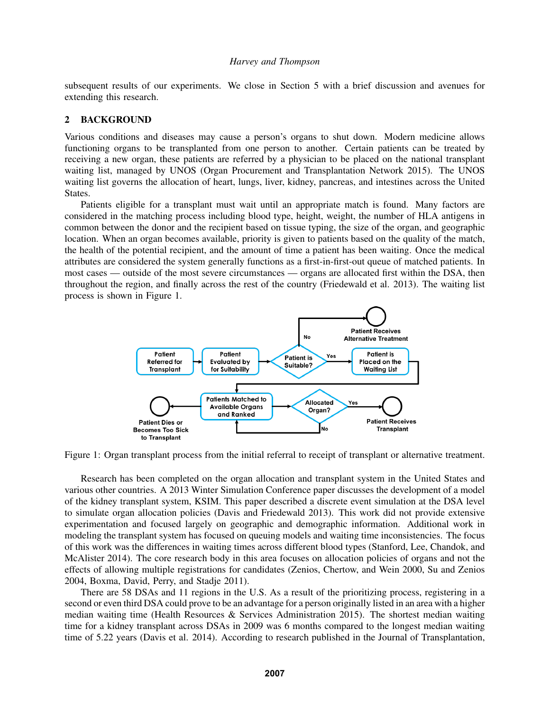subsequent results of our experiments. We close in Section 5 with a brief discussion and avenues for extending this research.

#### 2 BACKGROUND

Various conditions and diseases may cause a person's organs to shut down. Modern medicine allows functioning organs to be transplanted from one person to another. Certain patients can be treated by receiving a new organ, these patients are referred by a physician to be placed on the national transplant waiting list, managed by UNOS (Organ Procurement and Transplantation Network 2015). The UNOS waiting list governs the allocation of heart, lungs, liver, kidney, pancreas, and intestines across the United States.

Patients eligible for a transplant must wait until an appropriate match is found. Many factors are considered in the matching process including blood type, height, weight, the number of HLA antigens in common between the donor and the recipient based on tissue typing, the size of the organ, and geographic location. When an organ becomes available, priority is given to patients based on the quality of the match, the health of the potential recipient, and the amount of time a patient has been waiting. Once the medical attributes are considered the system generally functions as a first-in-first-out queue of matched patients. In most cases — outside of the most severe circumstances — organs are allocated first within the DSA, then throughout the region, and finally across the rest of the country (Friedewald et al. 2013). The waiting list process is shown in Figure 1.



Figure 1: Organ transplant process from the initial referral to receipt of transplant or alternative treatment.

Research has been completed on the organ allocation and transplant system in the United States and various other countries. A 2013 Winter Simulation Conference paper discusses the development of a model of the kidney transplant system, KSIM. This paper described a discrete event simulation at the DSA level to simulate organ allocation policies (Davis and Friedewald 2013). This work did not provide extensive experimentation and focused largely on geographic and demographic information. Additional work in modeling the transplant system has focused on queuing models and waiting time inconsistencies. The focus of this work was the differences in waiting times across different blood types (Stanford, Lee, Chandok, and McAlister 2014). The core research body in this area focuses on allocation policies of organs and not the effects of allowing multiple registrations for candidates (Zenios, Chertow, and Wein 2000, Su and Zenios 2004, Boxma, David, Perry, and Stadje 2011).

There are 58 DSAs and 11 regions in the U.S. As a result of the prioritizing process, registering in a second or even third DSA could prove to be an advantage for a person originally listed in an area with a higher median waiting time (Health Resources & Services Administration 2015). The shortest median waiting time for a kidney transplant across DSAs in 2009 was 6 months compared to the longest median waiting time of 5.22 years (Davis et al. 2014). According to research published in the Journal of Transplantation,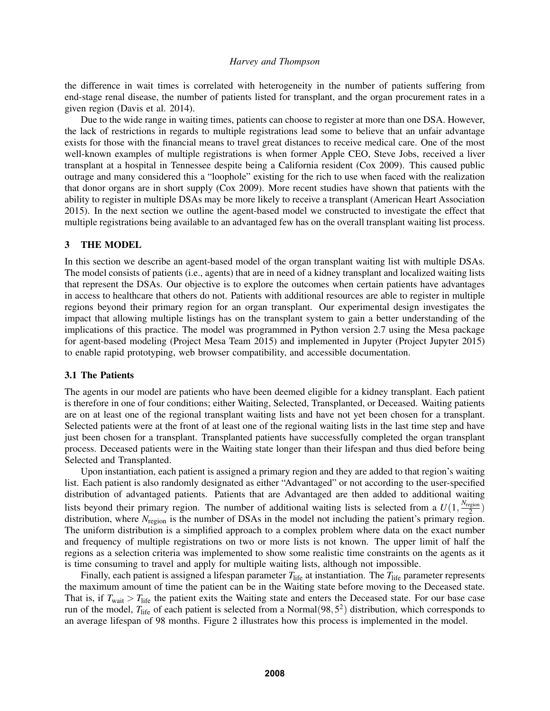the difference in wait times is correlated with heterogeneity in the number of patients suffering from end-stage renal disease, the number of patients listed for transplant, and the organ procurement rates in a given region (Davis et al. 2014).

Due to the wide range in waiting times, patients can choose to register at more than one DSA. However, the lack of restrictions in regards to multiple registrations lead some to believe that an unfair advantage exists for those with the financial means to travel great distances to receive medical care. One of the most well-known examples of multiple registrations is when former Apple CEO, Steve Jobs, received a liver transplant at a hospital in Tennessee despite being a California resident (Cox 2009). This caused public outrage and many considered this a "loophole" existing for the rich to use when faced with the realization that donor organs are in short supply (Cox 2009). More recent studies have shown that patients with the ability to register in multiple DSAs may be more likely to receive a transplant (American Heart Association 2015). In the next section we outline the agent-based model we constructed to investigate the effect that multiple registrations being available to an advantaged few has on the overall transplant waiting list process.

#### 3 THE MODEL

In this section we describe an agent-based model of the organ transplant waiting list with multiple DSAs. The model consists of patients (i.e., agents) that are in need of a kidney transplant and localized waiting lists that represent the DSAs. Our objective is to explore the outcomes when certain patients have advantages in access to healthcare that others do not. Patients with additional resources are able to register in multiple regions beyond their primary region for an organ transplant. Our experimental design investigates the impact that allowing multiple listings has on the transplant system to gain a better understanding of the implications of this practice. The model was programmed in Python version 2.7 using the Mesa package for agent-based modeling (Project Mesa Team 2015) and implemented in Jupyter (Project Jupyter 2015) to enable rapid prototyping, web browser compatibility, and accessible documentation.

## 3.1 The Patients

The agents in our model are patients who have been deemed eligible for a kidney transplant. Each patient is therefore in one of four conditions; either Waiting, Selected, Transplanted, or Deceased. Waiting patients are on at least one of the regional transplant waiting lists and have not yet been chosen for a transplant. Selected patients were at the front of at least one of the regional waiting lists in the last time step and have just been chosen for a transplant. Transplanted patients have successfully completed the organ transplant process. Deceased patients were in the Waiting state longer than their lifespan and thus died before being Selected and Transplanted.

Upon instantiation, each patient is assigned a primary region and they are added to that region's waiting list. Each patient is also randomly designated as either "Advantaged" or not according to the user-specified distribution of advantaged patients. Patients that are Advantaged are then added to additional waiting lists beyond their primary region. The number of additional waiting lists is selected from a  $U(1, \frac{N_{\text{region}}}{2})$  $\frac{2}{2}$ ) distribution, where *N*<sub>region</sub> is the number of DSAs in the model not including the patient's primary region. The uniform distribution is a simplified approach to a complex problem where data on the exact number and frequency of multiple registrations on two or more lists is not known. The upper limit of half the regions as a selection criteria was implemented to show some realistic time constraints on the agents as it is time consuming to travel and apply for multiple waiting lists, although not impossible.

Finally, each patient is assigned a lifespan parameter  $T_{\text{life}}$  at instantiation. The  $T_{\text{life}}$  parameter represents the maximum amount of time the patient can be in the Waiting state before moving to the Deceased state. That is, if  $T_{wait} > T_{life}$  the patient exits the Waiting state and enters the Deceased state. For our base case run of the model, T<sub>life</sub> of each patient is selected from a Normal(98,5<sup>2</sup>) distribution, which corresponds to an average lifespan of 98 months. Figure 2 illustrates how this process is implemented in the model.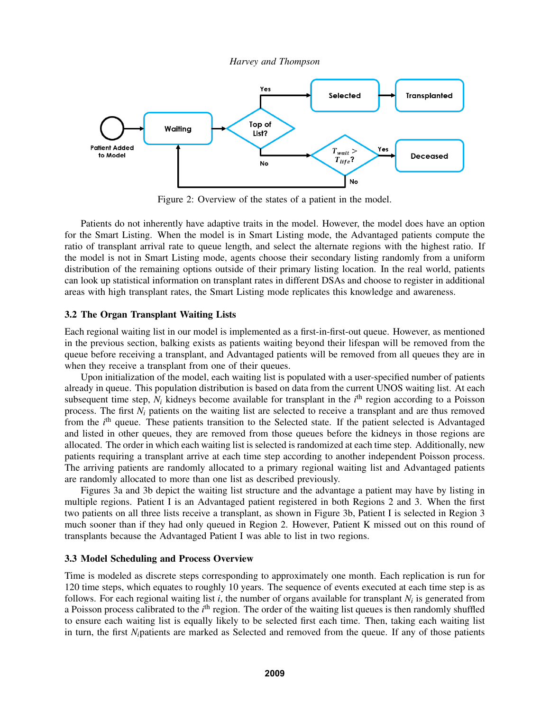



Figure 2: Overview of the states of a patient in the model.

Patients do not inherently have adaptive traits in the model. However, the model does have an option for the Smart Listing. When the model is in Smart Listing mode, the Advantaged patients compute the ratio of transplant arrival rate to queue length, and select the alternate regions with the highest ratio. If the model is not in Smart Listing mode, agents choose their secondary listing randomly from a uniform distribution of the remaining options outside of their primary listing location. In the real world, patients can look up statistical information on transplant rates in different DSAs and choose to register in additional areas with high transplant rates, the Smart Listing mode replicates this knowledge and awareness.

### 3.2 The Organ Transplant Waiting Lists

Each regional waiting list in our model is implemented as a first-in-first-out queue. However, as mentioned in the previous section, balking exists as patients waiting beyond their lifespan will be removed from the queue before receiving a transplant, and Advantaged patients will be removed from all queues they are in when they receive a transplant from one of their queues.

Upon initialization of the model, each waiting list is populated with a user-specified number of patients already in queue. This population distribution is based on data from the current UNOS waiting list. At each subsequent time step,  $N_i$  kidneys become available for transplant in the  $i<sup>th</sup>$  region according to a Poisson process. The first  $N_i$  patients on the waiting list are selected to receive a transplant and are thus removed from the *i*<sup>th</sup> queue. These patients transition to the Selected state. If the patient selected is Advantaged and listed in other queues, they are removed from those queues before the kidneys in those regions are allocated. The order in which each waiting list is selected is randomized at each time step. Additionally, new patients requiring a transplant arrive at each time step according to another independent Poisson process. The arriving patients are randomly allocated to a primary regional waiting list and Advantaged patients are randomly allocated to more than one list as described previously.

Figures 3a and 3b depict the waiting list structure and the advantage a patient may have by listing in multiple regions. Patient I is an Advantaged patient registered in both Regions 2 and 3. When the first two patients on all three lists receive a transplant, as shown in Figure 3b, Patient I is selected in Region 3 much sooner than if they had only queued in Region 2. However, Patient K missed out on this round of transplants because the Advantaged Patient I was able to list in two regions.

## 3.3 Model Scheduling and Process Overview

Time is modeled as discrete steps corresponding to approximately one month. Each replication is run for 120 time steps, which equates to roughly 10 years. The sequence of events executed at each time step is as follows. For each regional waiting list *i*, the number of organs available for transplant *N<sup>i</sup>* is generated from a Poisson process calibrated to the *i*<sup>th</sup> region. The order of the waiting list queues is then randomly shuffled to ensure each waiting list is equally likely to be selected first each time. Then, taking each waiting list in turn, the first *Ni*patients are marked as Selected and removed from the queue. If any of those patients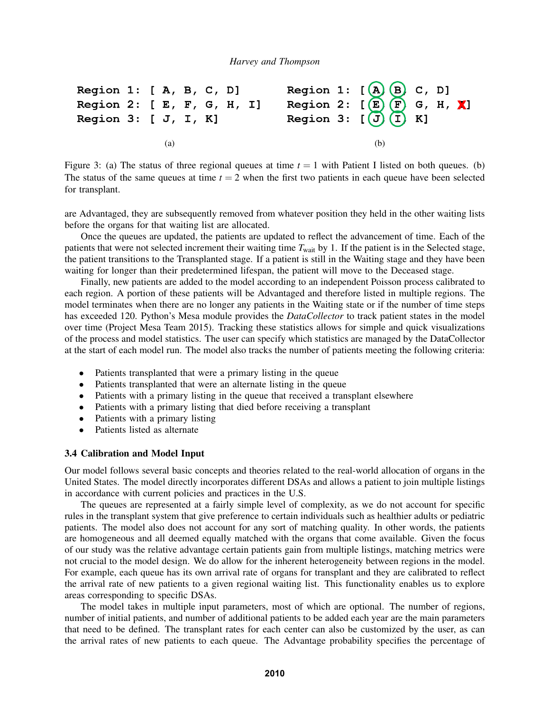

Figure 3: (a) The status of three regional queues at time  $t = 1$  with Patient I listed on both queues. (b) The status of the same queues at time  $t = 2$  when the first two patients in each queue have been selected for transplant.

are Advantaged, they are subsequently removed from whatever position they held in the other waiting lists before the organs for that waiting list are allocated.

Once the queues are updated, the patients are updated to reflect the advancement of time. Each of the patients that were not selected increment their waiting time  $T_{wait}$  by 1. If the patient is in the Selected stage, the patient transitions to the Transplanted stage. If a patient is still in the Waiting stage and they have been waiting for longer than their predetermined lifespan, the patient will move to the Deceased stage.

Finally, new patients are added to the model according to an independent Poisson process calibrated to each region. A portion of these patients will be Advantaged and therefore listed in multiple regions. The model terminates when there are no longer any patients in the Waiting state or if the number of time steps has exceeded 120. Python's Mesa module provides the *DataCollector* to track patient states in the model over time (Project Mesa Team 2015). Tracking these statistics allows for simple and quick visualizations of the process and model statistics. The user can specify which statistics are managed by the DataCollector at the start of each model run. The model also tracks the number of patients meeting the following criteria:

- Patients transplanted that were a primary listing in the queue
- Patients transplanted that were an alternate listing in the queue
- Patients with a primary listing in the queue that received a transplant elsewhere
- Patients with a primary listing that died before receiving a transplant
- Patients with a primary listing
- Patients listed as alternate

## 3.4 Calibration and Model Input

Our model follows several basic concepts and theories related to the real-world allocation of organs in the United States. The model directly incorporates different DSAs and allows a patient to join multiple listings in accordance with current policies and practices in the U.S.

The queues are represented at a fairly simple level of complexity, as we do not account for specific rules in the transplant system that give preference to certain individuals such as healthier adults or pediatric patients. The model also does not account for any sort of matching quality. In other words, the patients are homogeneous and all deemed equally matched with the organs that come available. Given the focus of our study was the relative advantage certain patients gain from multiple listings, matching metrics were not crucial to the model design. We do allow for the inherent heterogeneity between regions in the model. For example, each queue has its own arrival rate of organs for transplant and they are calibrated to reflect the arrival rate of new patients to a given regional waiting list. This functionality enables us to explore areas corresponding to specific DSAs.

The model takes in multiple input parameters, most of which are optional. The number of regions, number of initial patients, and number of additional patients to be added each year are the main parameters that need to be defined. The transplant rates for each center can also be customized by the user, as can the arrival rates of new patients to each queue. The Advantage probability specifies the percentage of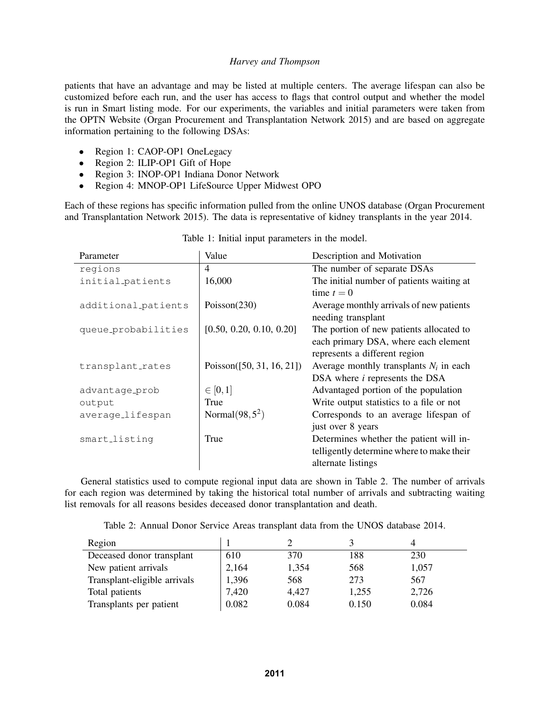patients that have an advantage and may be listed at multiple centers. The average lifespan can also be customized before each run, and the user has access to flags that control output and whether the model is run in Smart listing mode. For our experiments, the variables and initial parameters were taken from the OPTN Website (Organ Procurement and Transplantation Network 2015) and are based on aggregate information pertaining to the following DSAs:

- Region 1: CAOP-OP1 OneLegacy
- Region 2: ILIP-OP1 Gift of Hope
- Region 3: INOP-OP1 Indiana Donor Network
- Region 4: MNOP-OP1 LifeSource Upper Midwest OPO

Each of these regions has specific information pulled from the online UNOS database (Organ Procurement and Transplantation Network 2015). The data is representative of kidney transplants in the year 2014.

| Parameter           | Value                         | Description and Motivation                |
|---------------------|-------------------------------|-------------------------------------------|
| regions             | $\overline{4}$                | The number of separate DSAs               |
| initial_patients    | 16,000                        | The initial number of patients waiting at |
|                     |                               | time $t = 0$                              |
| additional_patients | Poisson $(230)$               | Average monthly arrivals of new patients  |
|                     |                               | needing transplant                        |
| queue_probabilities | [0.50, 0.20, 0.10, 0.20]      | The portion of new patients allocated to  |
|                     |                               | each primary DSA, where each element      |
|                     |                               | represents a different region             |
| transplant_rates    | Poisson( $[50, 31, 16, 21]$ ) | Average monthly transplants $N_i$ in each |
|                     |                               | DSA where <i>i</i> represents the DSA     |
| advantage_prob      | $\in [0,1]$                   | Advantaged portion of the population      |
| output              | True                          | Write output statistics to a file or not  |
| average_lifespan    | Normal $(98, 5^2)$            | Corresponds to an average lifespan of     |
|                     |                               | just over 8 years                         |
| smart_listing       | True                          | Determines whether the patient will in-   |
|                     |                               | telligently determine where to make their |
|                     |                               | alternate listings                        |

|  |  | Table 1: Initial input parameters in the model. |  |  |
|--|--|-------------------------------------------------|--|--|
|  |  |                                                 |  |  |

General statistics used to compute regional input data are shown in Table 2. The number of arrivals for each region was determined by taking the historical total number of arrivals and subtracting waiting list removals for all reasons besides deceased donor transplantation and death.

Table 2: Annual Donor Service Areas transplant data from the UNOS database 2014.

| Region                       |       |       |       |       |
|------------------------------|-------|-------|-------|-------|
| Deceased donor transplant    | 610   | 370   | 188   | 230   |
| New patient arrivals         | 2,164 | 1,354 | 568   | 1,057 |
| Transplant-eligible arrivals | 1,396 | 568   | 273   | 567   |
| Total patients               | 7,420 | 4,427 | 1,255 | 2,726 |
| Transplants per patient      | 0.082 | 0.084 | 0.150 | 0.084 |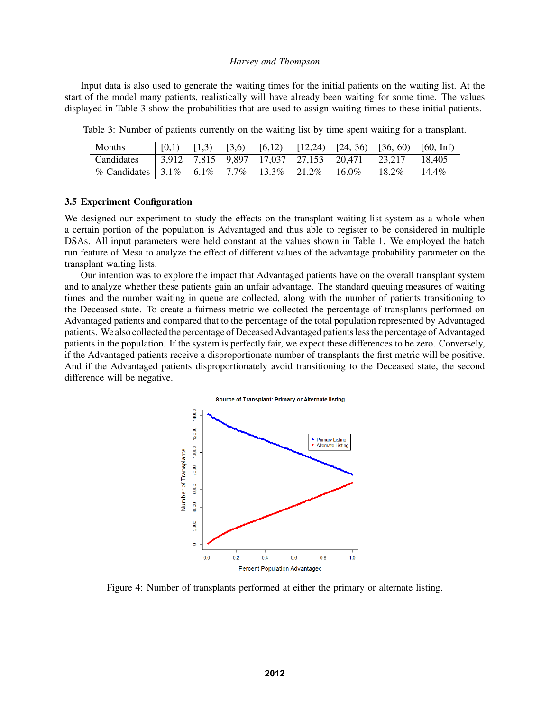Input data is also used to generate the waiting times for the initial patients on the waiting list. At the start of the model many patients, realistically will have already been waiting for some time. The values displayed in Table 3 show the probabilities that are used to assign waiting times to these initial patients.

Table 3: Number of patients currently on the waiting list by time spent waiting for a transplant.

| <b>Months</b>                                                     |  |  |  | $(0,1)$ $(1,3)$ $(3,6)$ $(6,12)$ $(12,24)$ $(24, 36)$ $(36, 60)$ $(60, 1)$ |
|-------------------------------------------------------------------|--|--|--|----------------------------------------------------------------------------|
| Candidates   3,912 7,815 9,897 17,037 27,153 20,471 23,217 18,405 |  |  |  |                                                                            |
| % Candidates 3.1% 6.1% 7.7% 13.3% 21.2% 16.0% 18.2% 14.4%         |  |  |  |                                                                            |

#### 3.5 Experiment Configuration

We designed our experiment to study the effects on the transplant waiting list system as a whole when a certain portion of the population is Advantaged and thus able to register to be considered in multiple DSAs. All input parameters were held constant at the values shown in Table 1. We employed the batch run feature of Mesa to analyze the effect of different values of the advantage probability parameter on the transplant waiting lists.

Our intention was to explore the impact that Advantaged patients have on the overall transplant system and to analyze whether these patients gain an unfair advantage. The standard queuing measures of waiting times and the number waiting in queue are collected, along with the number of patients transitioning to the Deceased state. To create a fairness metric we collected the percentage of transplants performed on Advantaged patients and compared that to the percentage of the total population represented by Advantaged patients. We also collected the percentage of Deceased Advantaged patients less the percentage of Advantaged patients in the population. If the system is perfectly fair, we expect these differences to be zero. Conversely, if the Advantaged patients receive a disproportionate number of transplants the first metric will be positive. And if the Advantaged patients disproportionately avoid transitioning to the Deceased state, the second difference will be negative.





Figure 4: Number of transplants performed at either the primary or alternate listing.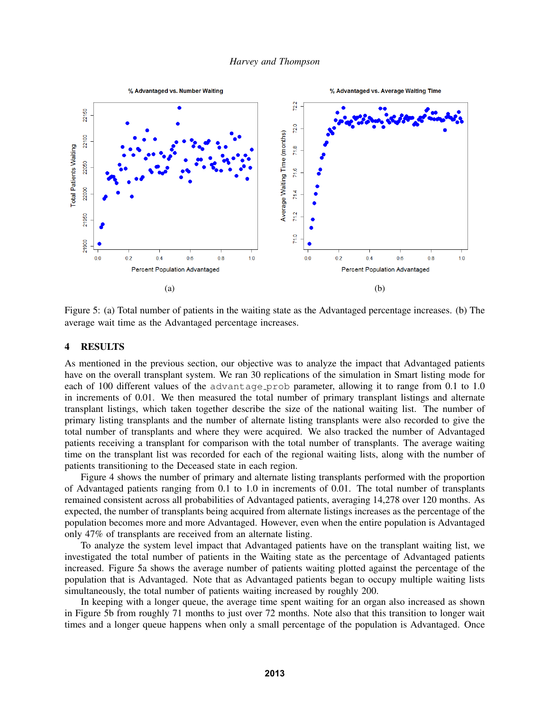

Figure 5: (a) Total number of patients in the waiting state as the Advantaged percentage increases. (b) The average wait time as the Advantaged percentage increases.

## 4 RESULTS

As mentioned in the previous section, our objective was to analyze the impact that Advantaged patients have on the overall transplant system. We ran 30 replications of the simulation in Smart listing mode for each of 100 different values of the advantage prob parameter, allowing it to range from 0.1 to 1.0 in increments of 0.01. We then measured the total number of primary transplant listings and alternate transplant listings, which taken together describe the size of the national waiting list. The number of primary listing transplants and the number of alternate listing transplants were also recorded to give the total number of transplants and where they were acquired. We also tracked the number of Advantaged patients receiving a transplant for comparison with the total number of transplants. The average waiting time on the transplant list was recorded for each of the regional waiting lists, along with the number of patients transitioning to the Deceased state in each region.

Figure 4 shows the number of primary and alternate listing transplants performed with the proportion of Advantaged patients ranging from 0.1 to 1.0 in increments of 0.01. The total number of transplants remained consistent across all probabilities of Advantaged patients, averaging 14,278 over 120 months. As expected, the number of transplants being acquired from alternate listings increases as the percentage of the population becomes more and more Advantaged. However, even when the entire population is Advantaged only 47% of transplants are received from an alternate listing.

To analyze the system level impact that Advantaged patients have on the transplant waiting list, we investigated the total number of patients in the Waiting state as the percentage of Advantaged patients increased. Figure 5a shows the average number of patients waiting plotted against the percentage of the population that is Advantaged. Note that as Advantaged patients began to occupy multiple waiting lists simultaneously, the total number of patients waiting increased by roughly 200.

In keeping with a longer queue, the average time spent waiting for an organ also increased as shown in Figure 5b from roughly 71 months to just over 72 months. Note also that this transition to longer wait times and a longer queue happens when only a small percentage of the population is Advantaged. Once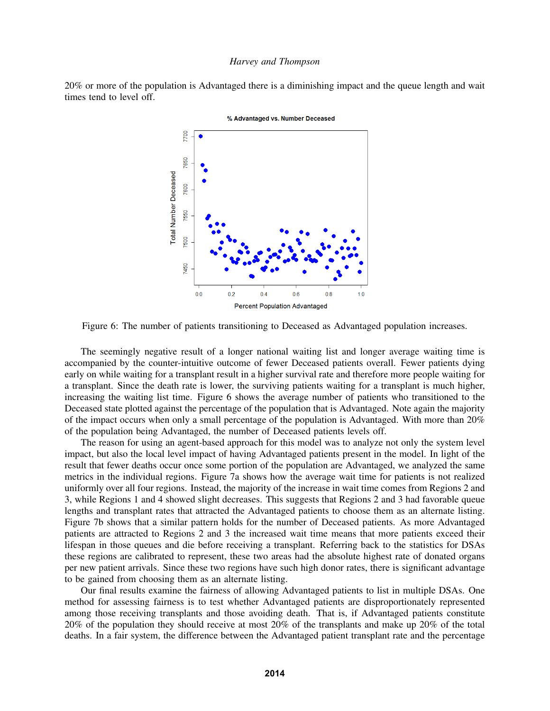20% or more of the population is Advantaged there is a diminishing impact and the queue length and wait times tend to level off.



% Advantaged vs. Number Deceased

Figure 6: The number of patients transitioning to Deceased as Advantaged population increases.

The seemingly negative result of a longer national waiting list and longer average waiting time is accompanied by the counter-intuitive outcome of fewer Deceased patients overall. Fewer patients dying early on while waiting for a transplant result in a higher survival rate and therefore more people waiting for a transplant. Since the death rate is lower, the surviving patients waiting for a transplant is much higher, increasing the waiting list time. Figure 6 shows the average number of patients who transitioned to the Deceased state plotted against the percentage of the population that is Advantaged. Note again the majority of the impact occurs when only a small percentage of the population is Advantaged. With more than 20% of the population being Advantaged, the number of Deceased patients levels off.

The reason for using an agent-based approach for this model was to analyze not only the system level impact, but also the local level impact of having Advantaged patients present in the model. In light of the result that fewer deaths occur once some portion of the population are Advantaged, we analyzed the same metrics in the individual regions. Figure 7a shows how the average wait time for patients is not realized uniformly over all four regions. Instead, the majority of the increase in wait time comes from Regions 2 and 3, while Regions 1 and 4 showed slight decreases. This suggests that Regions 2 and 3 had favorable queue lengths and transplant rates that attracted the Advantaged patients to choose them as an alternate listing. Figure 7b shows that a similar pattern holds for the number of Deceased patients. As more Advantaged patients are attracted to Regions 2 and 3 the increased wait time means that more patients exceed their lifespan in those queues and die before receiving a transplant. Referring back to the statistics for DSAs these regions are calibrated to represent, these two areas had the absolute highest rate of donated organs per new patient arrivals. Since these two regions have such high donor rates, there is significant advantage to be gained from choosing them as an alternate listing.

Our final results examine the fairness of allowing Advantaged patients to list in multiple DSAs. One method for assessing fairness is to test whether Advantaged patients are disproportionately represented among those receiving transplants and those avoiding death. That is, if Advantaged patients constitute 20% of the population they should receive at most 20% of the transplants and make up 20% of the total deaths. In a fair system, the difference between the Advantaged patient transplant rate and the percentage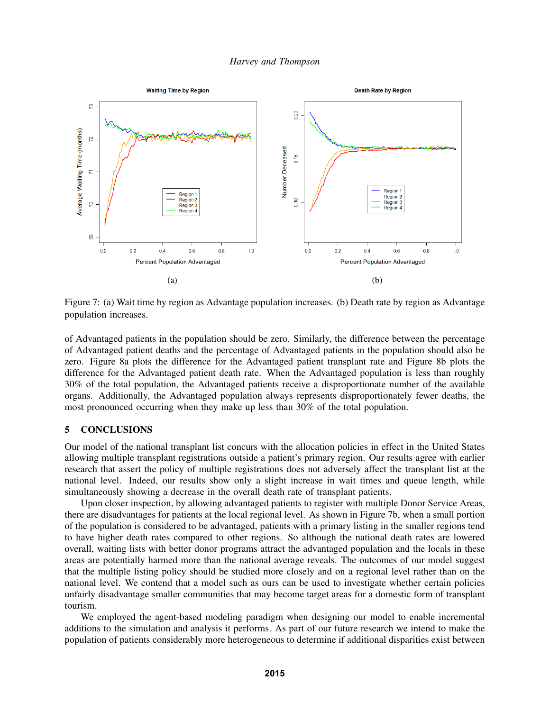

Figure 7: (a) Wait time by region as Advantage population increases. (b) Death rate by region as Advantage population increases.

of Advantaged patients in the population should be zero. Similarly, the difference between the percentage of Advantaged patient deaths and the percentage of Advantaged patients in the population should also be zero. Figure 8a plots the difference for the Advantaged patient transplant rate and Figure 8b plots the difference for the Advantaged patient death rate. When the Advantaged population is less than roughly 30% of the total population, the Advantaged patients receive a disproportionate number of the available organs. Additionally, the Advantaged population always represents disproportionately fewer deaths, the most pronounced occurring when they make up less than 30% of the total population.

# 5 CONCLUSIONS

Our model of the national transplant list concurs with the allocation policies in effect in the United States allowing multiple transplant registrations outside a patient's primary region. Our results agree with earlier research that assert the policy of multiple registrations does not adversely affect the transplant list at the national level. Indeed, our results show only a slight increase in wait times and queue length, while simultaneously showing a decrease in the overall death rate of transplant patients.

Upon closer inspection, by allowing advantaged patients to register with multiple Donor Service Areas, there are disadvantages for patients at the local regional level. As shown in Figure 7b, when a small portion of the population is considered to be advantaged, patients with a primary listing in the smaller regions tend to have higher death rates compared to other regions. So although the national death rates are lowered overall, waiting lists with better donor programs attract the advantaged population and the locals in these areas are potentially harmed more than the national average reveals. The outcomes of our model suggest that the multiple listing policy should be studied more closely and on a regional level rather than on the national level. We contend that a model such as ours can be used to investigate whether certain policies unfairly disadvantage smaller communities that may become target areas for a domestic form of transplant tourism.

We employed the agent-based modeling paradigm when designing our model to enable incremental additions to the simulation and analysis it performs. As part of our future research we intend to make the population of patients considerably more heterogeneous to determine if additional disparities exist between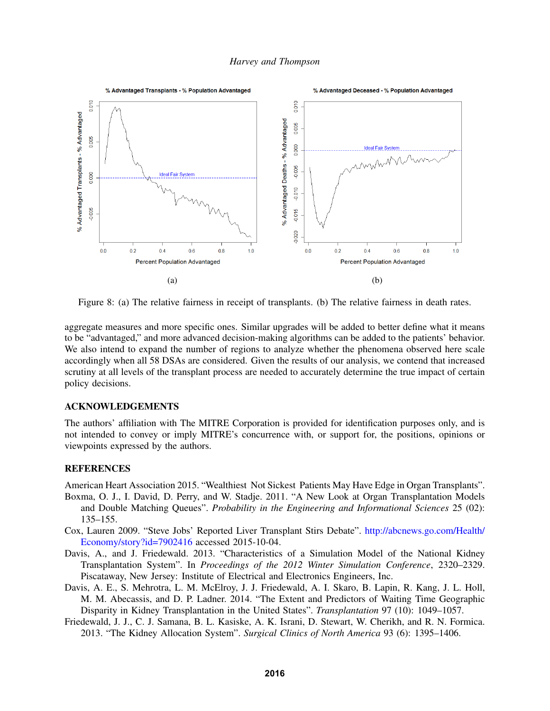

Figure 8: (a) The relative fairness in receipt of transplants. (b) The relative fairness in death rates.

aggregate measures and more specific ones. Similar upgrades will be added to better define what it means to be "advantaged," and more advanced decision-making algorithms can be added to the patients' behavior. We also intend to expand the number of regions to analyze whether the phenomena observed here scale accordingly when all 58 DSAs are considered. Given the results of our analysis, we contend that increased scrutiny at all levels of the transplant process are needed to accurately determine the true impact of certain policy decisions.

# ACKNOWLEDGEMENTS

The authors' affiliation with The MITRE Corporation is provided for identification purposes only, and is not intended to convey or imply MITRE's concurrence with, or support for, the positions, opinions or viewpoints expressed by the authors.

# **REFERENCES**

American Heart Association 2015. "Wealthiest Not Sickest Patients May Have Edge in Organ Transplants".

- Boxma, O. J., I. David, D. Perry, and W. Stadje. 2011. "A New Look at Organ Transplantation Models and Double Matching Queues". *Probability in the Engineering and Informational Sciences* 25 (02): 135–155.
- Cox, Lauren 2009. "Steve Jobs' Reported Liver Transplant Stirs Debate". http://abcnews.go.com/Health/ Economy/story?id=7902416 accessed 2015-10-04.
- Davis, A., and J. Friedewald. 2013. "Characteristics of a Simulation Model of the National Kidney Transplantation System". In *Proceedings of the 2012 Winter Simulation Conference*, 2320–2329. Piscataway, New Jersey: Institute of Electrical and Electronics Engineers, Inc.
- Davis, A. E., S. Mehrotra, L. M. McElroy, J. J. Friedewald, A. I. Skaro, B. Lapin, R. Kang, J. L. Holl, M. M. Abecassis, and D. P. Ladner. 2014. "The Extent and Predictors of Waiting Time Geographic Disparity in Kidney Transplantation in the United States". *Transplantation* 97 (10): 1049–1057.
- Friedewald, J. J., C. J. Samana, B. L. Kasiske, A. K. Israni, D. Stewart, W. Cherikh, and R. N. Formica. 2013. "The Kidney Allocation System". *Surgical Clinics of North America* 93 (6): 1395–1406.